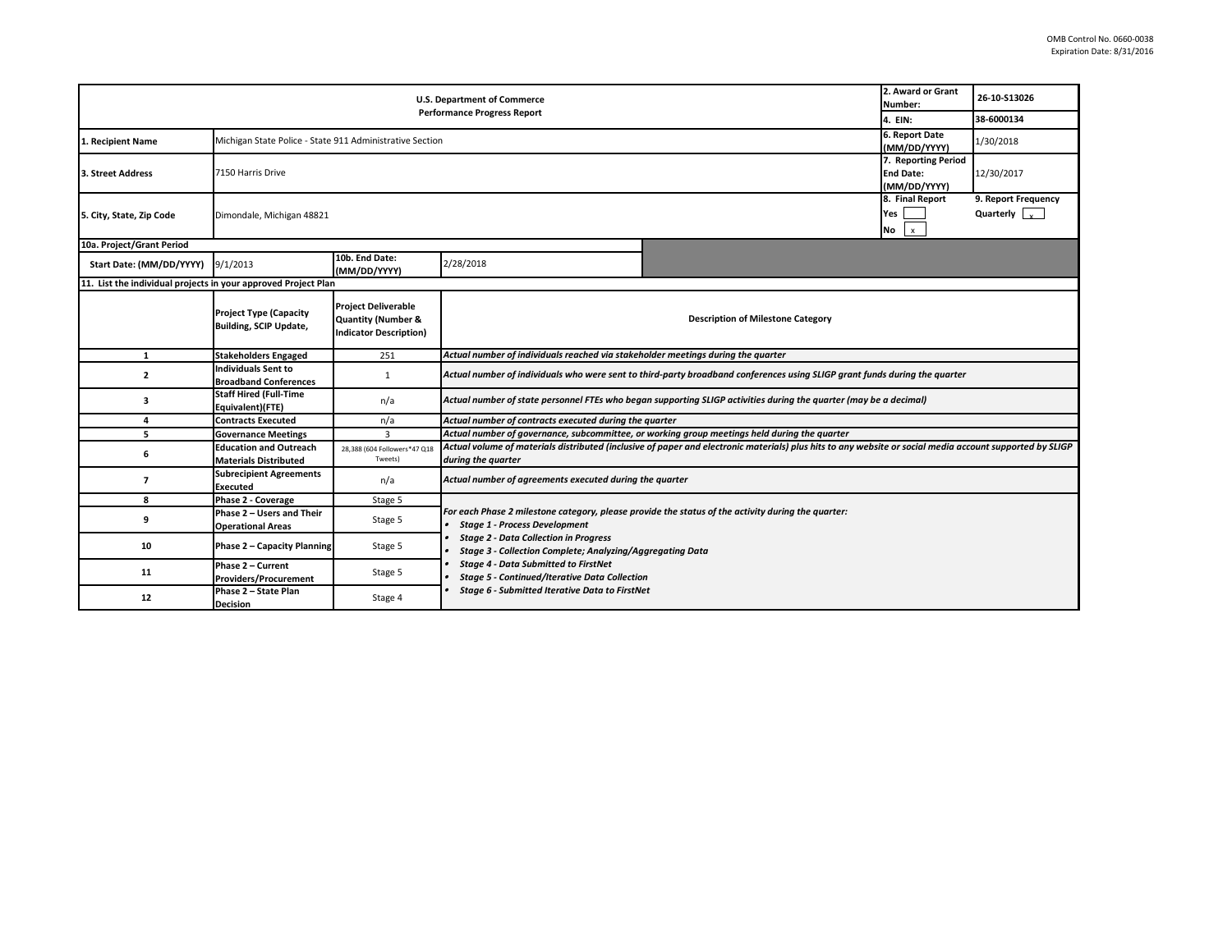| <b>U.S. Department of Commerce</b><br><b>Performance Progress Report</b> |                                                                                            |                                                                                              |                                                                                                                                                                                                                                                                                                                                                                                                                         |  | 2. Award or Grant<br>Number:                 | 26-10-S13026                                |  |  |
|--------------------------------------------------------------------------|--------------------------------------------------------------------------------------------|----------------------------------------------------------------------------------------------|-------------------------------------------------------------------------------------------------------------------------------------------------------------------------------------------------------------------------------------------------------------------------------------------------------------------------------------------------------------------------------------------------------------------------|--|----------------------------------------------|---------------------------------------------|--|--|
|                                                                          |                                                                                            |                                                                                              |                                                                                                                                                                                                                                                                                                                                                                                                                         |  | 4. EIN:                                      | 38-6000134                                  |  |  |
| 1. Recipient Name                                                        | 6. Report Date<br>Michigan State Police - State 911 Administrative Section<br>(MM/DD/YYYY) |                                                                                              |                                                                                                                                                                                                                                                                                                                                                                                                                         |  |                                              | 1/30/2018                                   |  |  |
| 3. Street Address                                                        | 7. Reporting Period<br>7150 Harris Drive<br><b>End Date:</b><br>(MM/DD/YYYY)               |                                                                                              |                                                                                                                                                                                                                                                                                                                                                                                                                         |  |                                              | 12/30/2017                                  |  |  |
| 5. City, State, Zip Code                                                 | Dimondale, Michigan 48821                                                                  |                                                                                              |                                                                                                                                                                                                                                                                                                                                                                                                                         |  | 8. Final Report<br>Yes<br>No<br>$\mathsf{x}$ | 9. Report Frequency<br>Quarterly $\sqrt{ }$ |  |  |
| 10a. Project/Grant Period                                                |                                                                                            |                                                                                              |                                                                                                                                                                                                                                                                                                                                                                                                                         |  |                                              |                                             |  |  |
| Start Date: (MM/DD/YYYY)                                                 | 9/1/2013                                                                                   | 10b. End Date:<br>(MM/DD/YYYY)                                                               | 2/28/2018                                                                                                                                                                                                                                                                                                                                                                                                               |  |                                              |                                             |  |  |
| 11. List the individual projects in your approved Project Plan           |                                                                                            |                                                                                              |                                                                                                                                                                                                                                                                                                                                                                                                                         |  |                                              |                                             |  |  |
|                                                                          | <b>Project Type (Capacity</b><br><b>Building, SCIP Update,</b>                             | <b>Project Deliverable</b><br><b>Quantity (Number &amp;</b><br><b>Indicator Description)</b> | <b>Description of Milestone Category</b>                                                                                                                                                                                                                                                                                                                                                                                |  |                                              |                                             |  |  |
| $\mathbf{1}$                                                             | <b>Stakeholders Engaged</b>                                                                | 251                                                                                          | Actual number of individuals reached via stakeholder meetings during the quarter                                                                                                                                                                                                                                                                                                                                        |  |                                              |                                             |  |  |
| 2                                                                        | <b>Individuals Sent to</b><br><b>Broadband Conferences</b>                                 | 1                                                                                            | Actual number of individuals who were sent to third-party broadband conferences using SLIGP grant funds during the quarter                                                                                                                                                                                                                                                                                              |  |                                              |                                             |  |  |
| 3                                                                        | <b>Staff Hired (Full-Time</b><br>Equivalent)(FTE)                                          | n/a                                                                                          | Actual number of state personnel FTEs who began supporting SLIGP activities during the quarter (may be a decimal)                                                                                                                                                                                                                                                                                                       |  |                                              |                                             |  |  |
| 4                                                                        | <b>Contracts Executed</b>                                                                  | n/a                                                                                          | Actual number of contracts executed during the quarter                                                                                                                                                                                                                                                                                                                                                                  |  |                                              |                                             |  |  |
| 5                                                                        | <b>Governance Meetings</b>                                                                 | 3                                                                                            | Actual number of governance, subcommittee, or working group meetings held during the quarter                                                                                                                                                                                                                                                                                                                            |  |                                              |                                             |  |  |
| 6                                                                        | <b>Education and Outreach</b><br><b>Materials Distributed</b>                              | 28,388 (604 Followers*47 Q18<br>Tweets)                                                      | Actual volume of materials distributed (inclusive of paper and electronic materials) plus hits to any website or social media account supported by SLIGP<br>during the quarter                                                                                                                                                                                                                                          |  |                                              |                                             |  |  |
| 7                                                                        | <b>Subrecipient Agreements</b><br>Executed                                                 | n/a                                                                                          | Actual number of agreements executed during the quarter                                                                                                                                                                                                                                                                                                                                                                 |  |                                              |                                             |  |  |
| 8                                                                        | Phase 2 - Coverage                                                                         | Stage 5                                                                                      |                                                                                                                                                                                                                                                                                                                                                                                                                         |  |                                              |                                             |  |  |
| 9                                                                        | Phase 2 - Users and Their<br><b>Operational Areas</b>                                      | Stage 5                                                                                      | For each Phase 2 milestone category, please provide the status of the activity during the quarter:<br><b>Stage 1 - Process Development</b><br><b>Stage 2 - Data Collection in Progress</b><br>Stage 3 - Collection Complete; Analyzing/Aggregating Data<br><b>Stage 4 - Data Submitted to FirstNet</b><br><b>Stage 5 - Continued/Iterative Data Collection</b><br><b>Stage 6 - Submitted Iterative Data to FirstNet</b> |  |                                              |                                             |  |  |
| 10                                                                       | <b>Phase 2 - Capacity Planning</b>                                                         | Stage 5                                                                                      |                                                                                                                                                                                                                                                                                                                                                                                                                         |  |                                              |                                             |  |  |
| 11                                                                       | Phase 2 - Current<br>Providers/Procurement                                                 | Stage 5                                                                                      |                                                                                                                                                                                                                                                                                                                                                                                                                         |  |                                              |                                             |  |  |
| 12                                                                       | Phase 2 - State Plan<br><b>Decision</b>                                                    | Stage 4                                                                                      |                                                                                                                                                                                                                                                                                                                                                                                                                         |  |                                              |                                             |  |  |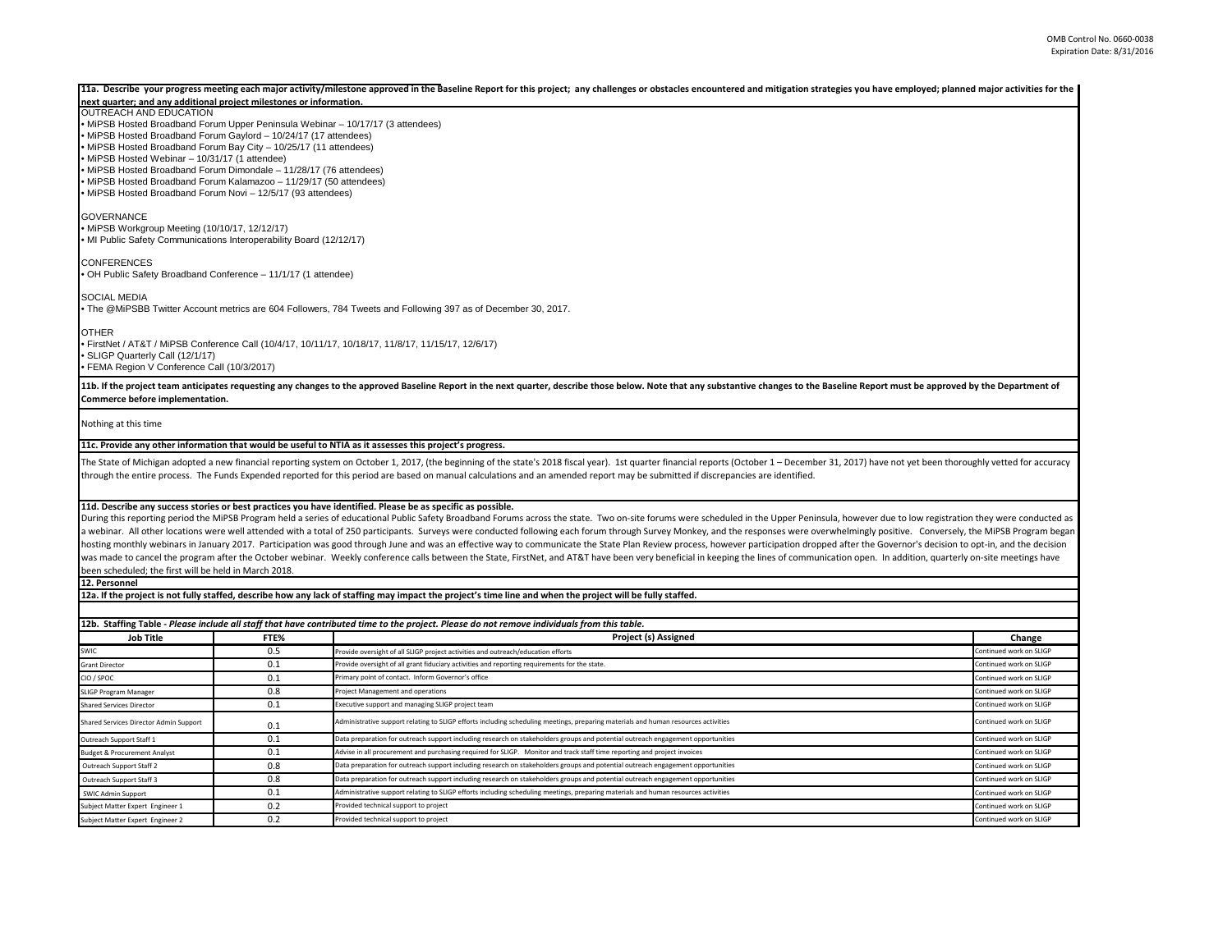|                                                                                                                                                                                                                                                                                                             |                                                                        | 11a. Describe your progress meeting each major activity/milestone approved in the Baseline Report for this project; any challenges or obstacles encountered and mitigation strategies you have employed; planned major activit                                                                                                                                                                                                                                                                                                                                                                                                                                                                                                                                                                                                                                                                                                                                                                                                                      |                         |  |  |  |  |
|-------------------------------------------------------------------------------------------------------------------------------------------------------------------------------------------------------------------------------------------------------------------------------------------------------------|------------------------------------------------------------------------|-----------------------------------------------------------------------------------------------------------------------------------------------------------------------------------------------------------------------------------------------------------------------------------------------------------------------------------------------------------------------------------------------------------------------------------------------------------------------------------------------------------------------------------------------------------------------------------------------------------------------------------------------------------------------------------------------------------------------------------------------------------------------------------------------------------------------------------------------------------------------------------------------------------------------------------------------------------------------------------------------------------------------------------------------------|-------------------------|--|--|--|--|
| next quarter; and any additional project milestones or information.                                                                                                                                                                                                                                         |                                                                        |                                                                                                                                                                                                                                                                                                                                                                                                                                                                                                                                                                                                                                                                                                                                                                                                                                                                                                                                                                                                                                                     |                         |  |  |  |  |
| <b>OUTREACH AND EDUCATION</b><br>• MiPSB Hosted Broadband Forum Upper Peninsula Webinar - 10/17/17 (3 attendees)<br>• MiPSB Hosted Broadband Forum Gaylord - 10/24/17 (17 attendees)<br>• MiPSB Hosted Broadband Forum Bay City - 10/25/17 (11 attendees)<br>• MiPSB Hosted Webinar - 10/31/17 (1 attendee) |                                                                        |                                                                                                                                                                                                                                                                                                                                                                                                                                                                                                                                                                                                                                                                                                                                                                                                                                                                                                                                                                                                                                                     |                         |  |  |  |  |
| • MiPSB Hosted Broadband Forum Dimondale - 11/28/17 (76 attendees)<br>• MiPSB Hosted Broadband Forum Kalamazoo - 11/29/17 (50 attendees)<br>• MiPSB Hosted Broadband Forum Novi - 12/5/17 (93 attendees)                                                                                                    |                                                                        |                                                                                                                                                                                                                                                                                                                                                                                                                                                                                                                                                                                                                                                                                                                                                                                                                                                                                                                                                                                                                                                     |                         |  |  |  |  |
| <b>GOVERNANCE</b><br>• MiPSB Workgroup Meeting (10/10/17, 12/12/17)<br>• MI Public Safety Communications Interoperability Board (12/12/17)                                                                                                                                                                  |                                                                        |                                                                                                                                                                                                                                                                                                                                                                                                                                                                                                                                                                                                                                                                                                                                                                                                                                                                                                                                                                                                                                                     |                         |  |  |  |  |
| <b>CONFERENCES</b><br>• OH Public Safety Broadband Conference - 11/1/17 (1 attendee)                                                                                                                                                                                                                        |                                                                        |                                                                                                                                                                                                                                                                                                                                                                                                                                                                                                                                                                                                                                                                                                                                                                                                                                                                                                                                                                                                                                                     |                         |  |  |  |  |
| <b>SOCIAL MEDIA</b>                                                                                                                                                                                                                                                                                         |                                                                        | . The @MiPSBB Twitter Account metrics are 604 Followers, 784 Tweets and Following 397 as of December 30, 2017.                                                                                                                                                                                                                                                                                                                                                                                                                                                                                                                                                                                                                                                                                                                                                                                                                                                                                                                                      |                         |  |  |  |  |
| <b>OTHER</b>                                                                                                                                                                                                                                                                                                |                                                                        | FirstNet / AT&T / MiPSB Conference Call (10/4/17, 10/11/17, 10/18/17, 11/8/17, 11/15/17, 12/6/17) •                                                                                                                                                                                                                                                                                                                                                                                                                                                                                                                                                                                                                                                                                                                                                                                                                                                                                                                                                 |                         |  |  |  |  |
| SLIGP Quarterly Call (12/1/17)<br>· FEMA Region V Conference Call (10/3/2017)                                                                                                                                                                                                                               |                                                                        |                                                                                                                                                                                                                                                                                                                                                                                                                                                                                                                                                                                                                                                                                                                                                                                                                                                                                                                                                                                                                                                     |                         |  |  |  |  |
| Commerce before implementation.                                                                                                                                                                                                                                                                             |                                                                        | 11b. If the project team anticipates requesting any changes to the approved Baseline Report in the next quarter, describe those below. Note that any substantive changes to the Baseline Report must be approved by the Depart                                                                                                                                                                                                                                                                                                                                                                                                                                                                                                                                                                                                                                                                                                                                                                                                                      |                         |  |  |  |  |
| Nothing at this time                                                                                                                                                                                                                                                                                        |                                                                        |                                                                                                                                                                                                                                                                                                                                                                                                                                                                                                                                                                                                                                                                                                                                                                                                                                                                                                                                                                                                                                                     |                         |  |  |  |  |
|                                                                                                                                                                                                                                                                                                             |                                                                        | 11c. Provide any other information that would be useful to NTIA as it assesses this project's progress.                                                                                                                                                                                                                                                                                                                                                                                                                                                                                                                                                                                                                                                                                                                                                                                                                                                                                                                                             |                         |  |  |  |  |
|                                                                                                                                                                                                                                                                                                             |                                                                        | The State of Michigan adopted a new financial reporting system on October 1, 2017, (the beginning of the state's 2018 fiscal year). 1st quarter financial reports (October 1 - December 31, 2017) have not yet been thoroughly<br>through the entire process. The Funds Expended reported for this period are based on manual calculations and an amended report may be submitted if discrepancies are identified.                                                                                                                                                                                                                                                                                                                                                                                                                                                                                                                                                                                                                                  |                         |  |  |  |  |
| been scheduled; the first will be held in March 2018.<br>12. Personnel                                                                                                                                                                                                                                      |                                                                        | 11d. Describe any success stories or best practices you have identified. Please be as specific as possible.<br>During this reporting period the MiPSB Program held a series of educational Public Safety Broadband Forums across the state. Two on-site forums were scheduled in the Upper Peninsula, however due to low registration they we<br>a webinar. All other locations were well attended with a total of 250 participants. Surveys were conducted following each forum through Survey Monkey, and the responses were overwhelmingly positive. Conversely, the MiPSB P<br>hosting monthly webinars in January 2017. Participation was good through June and was an effective way to communicate the State Plan Review process, however participation dropped after the Governor's decision to opt-in, an<br>was made to cancel the program after the October webinar. Weekly conference calls between the State, FirstNet, and AT&T have been very beneficial in keeping the lines of communication open. In addition, quarterly on-site m |                         |  |  |  |  |
|                                                                                                                                                                                                                                                                                                             |                                                                        | 12a. If the project is not fully staffed, describe how any lack of staffing may impact the project's time line and when the project will be fully staffed.                                                                                                                                                                                                                                                                                                                                                                                                                                                                                                                                                                                                                                                                                                                                                                                                                                                                                          |                         |  |  |  |  |
|                                                                                                                                                                                                                                                                                                             |                                                                        |                                                                                                                                                                                                                                                                                                                                                                                                                                                                                                                                                                                                                                                                                                                                                                                                                                                                                                                                                                                                                                                     |                         |  |  |  |  |
|                                                                                                                                                                                                                                                                                                             |                                                                        | 12b. Staffing Table - Please include all staff that have contributed time to the project. Please do not remove individuals from this table.                                                                                                                                                                                                                                                                                                                                                                                                                                                                                                                                                                                                                                                                                                                                                                                                                                                                                                         |                         |  |  |  |  |
| <b>Job Title</b>                                                                                                                                                                                                                                                                                            | FTE%                                                                   | Project (s) Assigned                                                                                                                                                                                                                                                                                                                                                                                                                                                                                                                                                                                                                                                                                                                                                                                                                                                                                                                                                                                                                                | Change                  |  |  |  |  |
| SWIC                                                                                                                                                                                                                                                                                                        | 0.5                                                                    | Provide oversight of all SLIGP project activities and outreach/education efforts                                                                                                                                                                                                                                                                                                                                                                                                                                                                                                                                                                                                                                                                                                                                                                                                                                                                                                                                                                    | Continued work on SLIGP |  |  |  |  |
| <b>Grant Director</b>                                                                                                                                                                                                                                                                                       | 0.1                                                                    | Provide oversight of all grant fiduciary activities and reporting requirements for the state.                                                                                                                                                                                                                                                                                                                                                                                                                                                                                                                                                                                                                                                                                                                                                                                                                                                                                                                                                       | Continued work on SLIGP |  |  |  |  |
| CIO / SPOC                                                                                                                                                                                                                                                                                                  | 0.1                                                                    | Primary point of contact. Inform Governor's office                                                                                                                                                                                                                                                                                                                                                                                                                                                                                                                                                                                                                                                                                                                                                                                                                                                                                                                                                                                                  | Continued work on SLIGE |  |  |  |  |
| <b>SLIGP Program Manager</b>                                                                                                                                                                                                                                                                                | 0.8                                                                    | <b>Project Management and operations</b>                                                                                                                                                                                                                                                                                                                                                                                                                                                                                                                                                                                                                                                                                                                                                                                                                                                                                                                                                                                                            | Continued work on SLIGF |  |  |  |  |
| <b>Shared Services Director</b>                                                                                                                                                                                                                                                                             | 0.1                                                                    | Executive support and managing SLIGP project team                                                                                                                                                                                                                                                                                                                                                                                                                                                                                                                                                                                                                                                                                                                                                                                                                                                                                                                                                                                                   | Continued work on SLIGP |  |  |  |  |
| Shared Services Director Admin Support                                                                                                                                                                                                                                                                      | 0.1                                                                    | Administrative support relating to SLIGP efforts including scheduling meetings, preparing materials and human resources activities                                                                                                                                                                                                                                                                                                                                                                                                                                                                                                                                                                                                                                                                                                                                                                                                                                                                                                                  | Continued work on SLIGP |  |  |  |  |
| Outreach Support Staff 1                                                                                                                                                                                                                                                                                    | 0.1                                                                    | Data preparation for outreach support including research on stakeholders groups and potential outreach engagement opportunities                                                                                                                                                                                                                                                                                                                                                                                                                                                                                                                                                                                                                                                                                                                                                                                                                                                                                                                     | Continued work on SLIGP |  |  |  |  |
| <b>Budget &amp; Procurement Analyst</b>                                                                                                                                                                                                                                                                     | 0.1                                                                    | Advise in all procurement and purchasing required for SLIGP. Monitor and track staff time reporting and project invoices                                                                                                                                                                                                                                                                                                                                                                                                                                                                                                                                                                                                                                                                                                                                                                                                                                                                                                                            | Continued work on SLIGP |  |  |  |  |
| Outreach Support Staff 2                                                                                                                                                                                                                                                                                    | 0.8                                                                    | Data preparation for outreach support including research on stakeholders groups and potential outreach engagement opportunities<br>Continued work on SLIGF                                                                                                                                                                                                                                                                                                                                                                                                                                                                                                                                                                                                                                                                                                                                                                                                                                                                                          |                         |  |  |  |  |
| Outreach Support Staff 3                                                                                                                                                                                                                                                                                    | 0.8                                                                    | Data preparation for outreach support including research on stakeholders groups and potential outreach engagement opportunities<br>Continued work on SLIGP                                                                                                                                                                                                                                                                                                                                                                                                                                                                                                                                                                                                                                                                                                                                                                                                                                                                                          |                         |  |  |  |  |
| <b>SWIC Admin Support</b>                                                                                                                                                                                                                                                                                   | 0.1                                                                    | Administrative support relating to SLIGP efforts including scheduling meetings, preparing materials and human resources activities                                                                                                                                                                                                                                                                                                                                                                                                                                                                                                                                                                                                                                                                                                                                                                                                                                                                                                                  |                         |  |  |  |  |
| Subject Matter Expert Engineer 1                                                                                                                                                                                                                                                                            | 0.2                                                                    | Continued work on SLIGP<br>Provided technical support to project                                                                                                                                                                                                                                                                                                                                                                                                                                                                                                                                                                                                                                                                                                                                                                                                                                                                                                                                                                                    |                         |  |  |  |  |
| Subject Matter Expert Engineer 2                                                                                                                                                                                                                                                                            | 0.2<br>Continued work on SLIGP<br>rovided technical support to project |                                                                                                                                                                                                                                                                                                                                                                                                                                                                                                                                                                                                                                                                                                                                                                                                                                                                                                                                                                                                                                                     |                         |  |  |  |  |
|                                                                                                                                                                                                                                                                                                             |                                                                        |                                                                                                                                                                                                                                                                                                                                                                                                                                                                                                                                                                                                                                                                                                                                                                                                                                                                                                                                                                                                                                                     |                         |  |  |  |  |